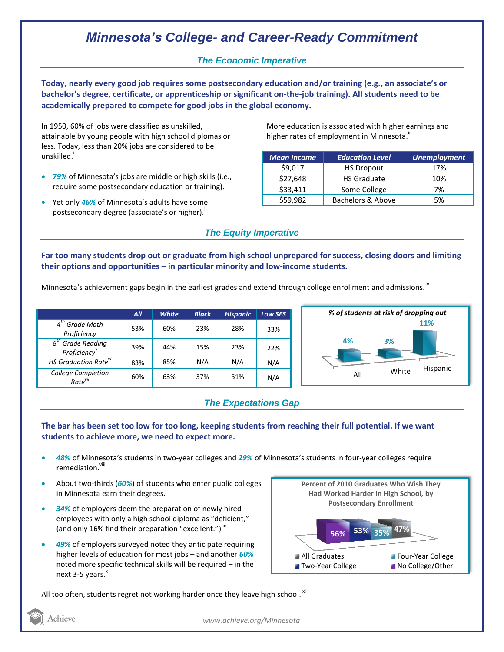# *Minnesota's College- and Career-Ready Commitment*

## *The Economic Imperative*

**Today, nearly every good job requires some postsecondary education and/or training (e.g., an associate's or bachelor's degree, certificate, or apprenticeship or significant on-the-job training). All students need to be academically prepared to compete for good jobs in the global economy.**

In 1950, 60% of jobs were classified as unskilled, attainable by young people with high school diplomas or less. Today, less than 20% jobs are considered to be unskilled.<sup>1</sup>

- *79%* of Minnesota's jobs are middle or high skills (i.e., require some postsecondary education or training).
- Yet only *46%* of Minnesota's adults have some postsecondary degree (associate's or higher)."

More education is associated with higher earnings and higher rates of employment in Minnesota. $^{\text{\text{III}}}$ 

| <b>Mean Income</b> | <b>Education Level</b> | <b>Unemployment</b> |
|--------------------|------------------------|---------------------|
| \$9,017            | <b>HS Dropout</b>      | 17%                 |
| \$27,648           | <b>HS Graduate</b>     | 10%                 |
| \$33,411           | Some College           | 7%                  |
| \$59,982           | Bachelors & Above      | 5%                  |

## *The Equity Imperative*

**Far too many students drop out or graduate from high school unprepared for success, closing doors and limiting their options and opportunities – in particular minority and low-income students.** 

Minnesota's achievement gaps begin in the earliest grades and extend through college enrollment and admissions.<sup>iv</sup>

|                                           | All | <b>White</b> | <b>Black</b> | <b>Hispanic</b> | <b>Low SES</b> |
|-------------------------------------------|-----|--------------|--------------|-----------------|----------------|
| $4th$ Grade Math<br>Proficiency           | 53% | 60%          | 23%          | 28%             | 33%            |
| $8th$ Grade Reading<br>Proficiency        | 39% | 44%          | 15%          | 23%             | 22%            |
| HS Graduation Rate <sup>vi</sup>          | 83% | 85%          | N/A          | N/A             | N/A            |
| College Completion<br>Rate <sup>vii</sup> | 60% | 63%          | 37%          | 51%             | N/A            |



## *The Expectations Gap*

### **The bar has been set too low for too long, keeping students from reaching their full potential. If we want students to achieve more, we need to expect more.**

- *48%* of Minnesota's students in two-year colleges and *29%* of Minnesota's students in four-year colleges require remediation.<sup>viii</sup>
- About two-thirds (*60%*) of students who enter public colleges in Minnesota earn their degrees.
- *34%* of employers deem the preparation of newly hired employees with only a high school diploma as "deficient," (and only 16% find their preparation "excellent.")<sup>ix</sup>
- *49%* of employers surveyed noted they anticipate requiring higher levels of education for most jobs – and another *60%* noted more specific technical skills will be required – in the next 3-5 years. $x^*$



All too often, students regret not working harder once they leave high school.  $^{\text{xi}}$ 

Achieve

*www.achieve.org/Minnesota*